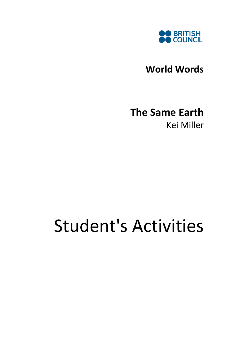

World Words

## The Same Earth Kei Miller

# Student's Activities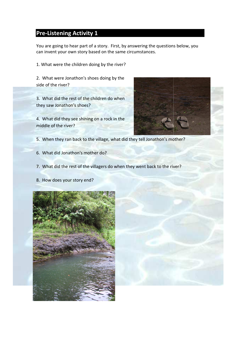#### Pre-Listening Activity 1

You are going to hear part of a story. First, by answering the questions below, you can invent your own story based on the same circumstances.

1. What were the children doing by the river?

2. What were Jonathon's shoes doing by the side of the river?

3. What did the rest of the children do when they saw Jonathon's shoes?

4. What did they see shining on a rock in the middle of the river?



- 5. When they ran back to the village, what did they tell Jonathon's mother?
- 6. What did Jonathon's mother do?
- 7. What did the rest of the villagers do when they went back to the river?
- 8. How does your story end?

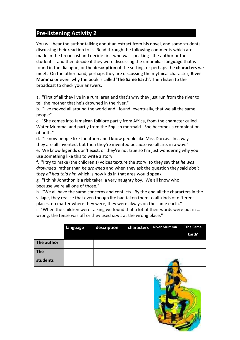### Pre-listening Activity 2

You will hear the author talking about an extract from his novel, and some students discussing their reaction to it. Read through the following comments which are made in the broadcast and decide first who was speaking - the author or the students - and then decide if they were discussing the unfamiliar **language** that is found in the dialogue, or the **description** of the setting, or perhaps the **characters** we meet. On the other hand, perhaps they are discussing the mythical character, River Mumma or even why the book is called 'The Same Earth'. Then listen to the broadcast to check your answers.

a. "First of all they live in a rural area and that's why they just run from the river to tell the mother that he's drowned in the river."

b. "I've moved all around the world and I found, eventually, that we all the same people"

c. "She comes into Jamaican folklore partly from Africa, from the character called Water Mumma, and partly from the English mermaid. She becomes a combination of both."

d. "I know people like Jonathon and I know people like Miss Dorcas. In a way they are all invented, but then they're invented because we all are, in a way." e. We know legends don't exist, or they're not true so I'm just wondering why you use something like this to write a story."

f. "I try to make (the children's) voices texture the story, so they say that he was drownded rather than he drowned and when they ask the question they said don't they all had told him which is how kids in that area would speak.

g. "I think Jonathon is a risk taker, a very naughty boy. We all know who because we're all one of those."

h. "We all have the same concerns and conflicts. By the end all the characters in the village, they realise that even though life had taken them to all kinds of different places, no matter where they were, they were always on the same earth."

i. "When the children were talking we found that a lot of their words were put in … wrong, the tense was off or they used don't at the wrong place."

|            | language | description | characters River Mumma | The Same<br>Earth' |
|------------|----------|-------------|------------------------|--------------------|
| The author |          |             |                        |                    |
| <b>The</b> |          |             |                        |                    |
| students   |          |             |                        |                    |